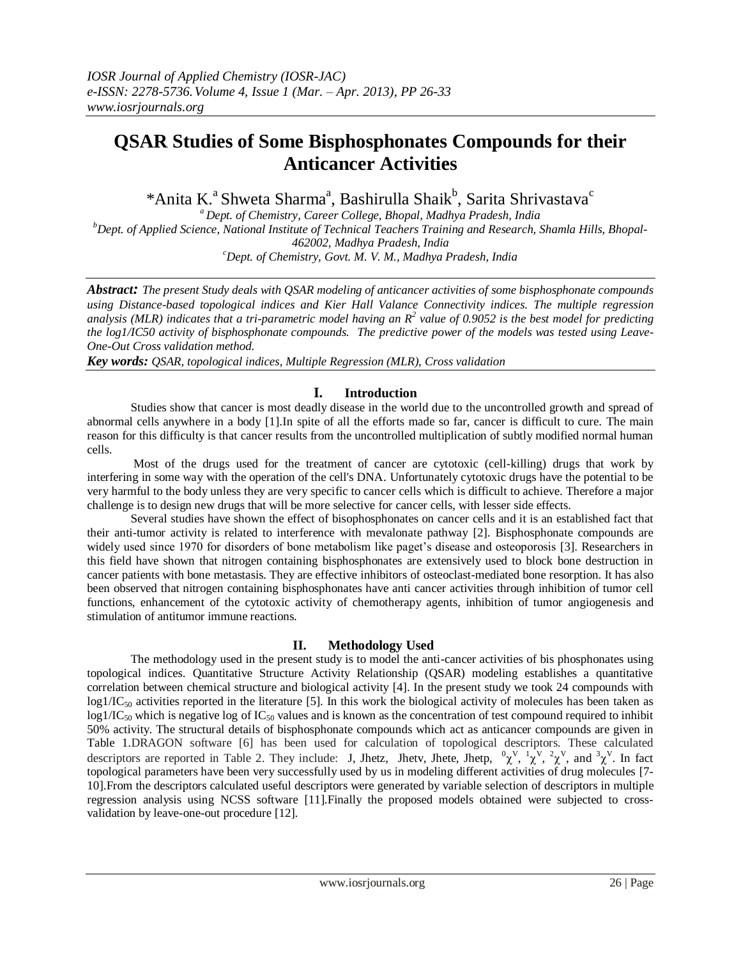# **QSAR Studies of Some Bisphosphonates Compounds for their Anticancer Activities**

\*Anita K.<sup>a</sup> Shweta Sharma<sup>a</sup>, Bashirulla Shaik<sup>b</sup>, Sarita Shrivastava<sup>c</sup>

*<sup>a</sup>Dept. of Chemistry, Career College, Bhopal, Madhya Pradesh, India <sup>b</sup>Dept. of Applied Science, National Institute of Technical Teachers Training and Research, Shamla Hills, Bhopal-462002, Madhya Pradesh, India <sup>c</sup>Dept. of Chemistry, Govt. M. V. M., Madhya Pradesh, India*

*Abstract: The present Study deals with QSAR modeling of anticancer activities of some bisphosphonate compounds using Distance-based topological indices and Kier Hall Valance Connectivity indices. The multiple regression analysis (MLR) indicates that a tri-parametric model having an R 2 value of 0.9052 is the best model for predicting the log1/IC50 activity of bisphosphonate compounds. The predictive power of the models was tested using Leave-One-Out Cross validation method.*

*Key words: QSAR, topological indices, Multiple Regression (MLR), Cross validation*

# **I. Introduction**

Studies show that cancer is most deadly disease in the world due to the uncontrolled growth and spread of abnormal cells anywhere in a body [1].In spite of all the efforts made so far, cancer is difficult to cure. The main reason for this difficulty is that cancer results from the uncontrolled multiplication of subtly modified normal human cells.

Most of the drugs used for the treatment of cancer are cytotoxic (cell-killing) drugs that work by interfering in some way with the operation of the cell's DNA. Unfortunately cytotoxic drugs have the potential to be very harmful to the body unless they are very specific to cancer cells which is difficult to achieve. Therefore a major challenge is to design new drugs that will be more selective for cancer cells, with lesser side effects.

 Several studies have shown the effect of bisophosphonates on cancer cells and it is an established fact that their anti-tumor activity is related to interference with mevalonate pathway [2]. Bisphosphonate compounds are widely used since 1970 for disorders of bone metabolism like paget's disease and osteoporosis [3]. Researchers in this field have shown that nitrogen containing bisphosphonates are extensively used to block bone destruction in cancer patients with bone metastasis. They are effective inhibitors of osteoclast-mediated bone resorption. It has also been observed that nitrogen containing bisphosphonates have anti cancer activities through inhibition of tumor cell functions, enhancement of the cytotoxic activity of chemotherapy agents, inhibition of tumor angiogenesis and stimulation of antitumor immune reactions.

## **II. Methodology Used**

The methodology used in the present study is to model the anti-cancer activities of bis phosphonates using topological indices. Quantitative Structure Activity Relationship (QSAR) modeling establishes a quantitative correlation between chemical structure and biological activity [4]. In the present study we took 24 compounds with  $log1/IC_{50}$  activities reported in the literature [5]. In this work the biological activity of molecules has been taken as  $log1/IC_{50}$  which is negative log of IC<sub>50</sub> values and is known as the concentration of test compound required to inhibit 50% activity. The structural details of bisphosphonate compounds which act as anticancer compounds are given in Table 1.DRAGON software [6] has been used for calculation of topological descriptors. These calculated descriptors are reported in Table 2. They include: J, Jhetz, Jhetv, Jhete, Jhetp,  ${}^0\chi^V$ ,  ${}^1\chi^V$ ,  ${}^2\chi^V$ , and  ${}^3\chi^V$ . In fact topological parameters have been very successfully used by us in modeling different activities of drug molecules [7- 10].From the descriptors calculated useful descriptors were generated by variable selection of descriptors in multiple regression analysis using NCSS software [11].Finally the proposed models obtained were subjected to crossvalidation by leave-one-out procedure [12].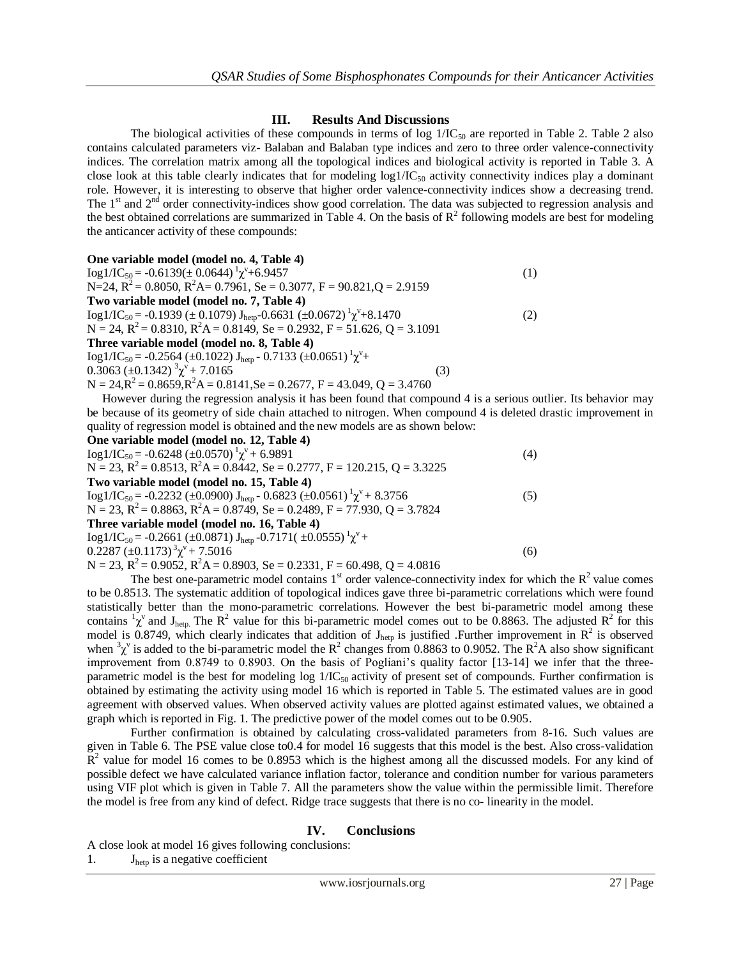# **III. Results And Discussions**

The biological activities of these compounds in terms of log  $1/IC_{50}$  are reported in Table 2. Table 2 also contains calculated parameters viz- Balaban and Balaban type indices and zero to three order valence-connectivity indices. The correlation matrix among all the topological indices and biological activity is reported in Table 3. A close look at this table clearly indicates that for modeling  $log1/IC_{50}$  activity connectivity indices play a dominant role. However, it is interesting to observe that higher order valence-connectivity indices show a decreasing trend. The  $1<sup>st</sup>$  and  $2<sup>nd</sup>$  order connectivity-indices show good correlation. The data was subjected to regression analysis and the best obtained correlations are summarized in Table 4. On the basis of  $\mathbb{R}^2$  following models are best for modeling the anticancer activity of these compounds:

| One variable model (model no. 4, Table 4)                                                                                      |     |
|--------------------------------------------------------------------------------------------------------------------------------|-----|
| $\log 1/\text{IC}_{50}$ = -0.6139( $\pm$ 0.0644) <sup>1</sup> $\chi^{\text{V}}$ +6.9457                                        | (1) |
| N=24, $R^2 = 0.8050$ , $R^2A = 0.7961$ , $Se = 0.3077$ , $F = 90.821$ , $Q = 2.9159$                                           |     |
| Two variable model (model no. 7, Table 4)                                                                                      |     |
| $\text{log}1/\text{IC}_{50}$ = -0.1939 (± 0.1079) $\text{J}_{\text{hetp}}$ -0.6631 (±0.0672) <sup>1</sup> $\chi^{\nu}$ +8.1470 | (2) |
| $N = 24$ , $R^2 = 0.8310$ , $R^2A = 0.8149$ , $Se = 0.2932$ , $F = 51.626$ , $Q = 3.1091$                                      |     |
| Three variable model (model no. 8, Table 4)                                                                                    |     |
| $\log 1/\text{IC}_{50}$ = -0.2564 (±0.1022) J <sub>hetp</sub> - 0.7133 (±0.0651) <sup>1</sup> $\chi$ <sup>v</sup> +            |     |
| $0.3063$ (±0.1342) <sup>3</sup> $\chi$ <sup>v</sup> + 7.0165<br>(3)                                                            |     |
| $N = 24, R^2 = 0.8659, R^2 A = 0.8141, Se = 0.2677, F = 43.049, Q = 3.4760$                                                    |     |
|                                                                                                                                |     |

 However during the regression analysis it has been found that compound 4 is a serious outlier. Its behavior may be because of its geometry of side chain attached to nitrogen. When compound 4 is deleted drastic improvement in quality of regression model is obtained and the new models are as shown below:

| One variable model (model no. 12, Table 4)                                                                                 |     |
|----------------------------------------------------------------------------------------------------------------------------|-----|
| $\log 1/\text{IC}_{50} = -0.6248 \left( \pm 0.0570 \right) \frac{1}{\gamma}$ + 6.9891                                      | (4) |
| $N = 23$ , $R^2 = 0.8513$ , $R^2A = 0.8442$ , $Se = 0.2777$ , $F = 120.215$ , $Q = 3.3225$                                 |     |
| Two variable model (model no. 15, Table 4)                                                                                 |     |
| $\log 1/\text{IC}_{50}$ = -0.2232 (±0.0900) J <sub>hetp</sub> - 0.6823 (±0.0561) <sup>1</sup> $\chi$ <sup>v</sup> + 8.3756 | (5) |
| $N = 23$ , $R^2 = 0.8863$ , $R^2A = 0.8749$ , $Se = 0.2489$ , $F = 77.930$ , $Q = 3.7824$                                  |     |
| Three variable model (model no. 16, Table 4)                                                                               |     |
| $\log 1/\text{IC}_{50} = -0.2661$ (±0.0871) J <sub>hetp</sub> -0.7171(±0.0555) <sup>1</sup> $\chi^{\text{V}}$ +            |     |
| $0.2287 \left( \pm 0.1173 \right) \frac{3}{4} \chi^v + 7.5016$                                                             | (6) |
| $N = 23$ , $R^2 = 0.9052$ , $R^2A = 0.8903$ , $Se = 0.2331$ , $F = 60.498$ , $Q = 4.0816$                                  |     |

The best one-parametric model contains  $1<sup>st</sup>$  order valence-connectivity index for which the  $R<sup>2</sup>$  value comes to be 0.8513. The systematic addition of topological indices gave three bi-parametric correlations which were found statistically better than the mono-parametric correlations. However the best bi-parametric model among these contains  $\frac{1}{\chi}$ <sup>v</sup> and J<sub>hetp.</sub> The R<sup>2</sup> value for this bi-parametric model comes out to be 0.8863. The adjusted R<sup>2</sup> for this model is 0.8749, which clearly indicates that addition of  $J_{\text{hetp}}$  is justified . Further improvement in  $R^2$  is observed when  ${}^3\chi^v$  is added to the bi-parametric model the R<sup>2</sup> changes from 0.8863 to 0.9052. The R<sup>2</sup>A also show significant improvement from 0.8749 to 0.8903. On the basis of Pogliani's quality factor [13-14] we infer that the threeparametric model is the best for modeling log  $1/IC_{50}$  activity of present set of compounds. Further confirmation is obtained by estimating the activity using model 16 which is reported in Table 5. The estimated values are in good agreement with observed values. When observed activity values are plotted against estimated values, we obtained a graph which is reported in Fig. 1. The predictive power of the model comes out to be 0.905.

 Further confirmation is obtained by calculating cross-validated parameters from 8-16. Such values are given in Table 6. The PSE value close to0.4 for model 16 suggests that this model is the best. Also cross-validation  $\mathbb{R}^2$  value for model 16 comes to be 0.8953 which is the highest among all the discussed models. For any kind of possible defect we have calculated variance inflation factor, tolerance and condition number for various parameters using VIF plot which is given in Table 7. All the parameters show the value within the permissible limit. Therefore the model is free from any kind of defect. Ridge trace suggests that there is no co- linearity in the model.

## **IV. Conclusions**

A close look at model 16 gives following conclusions: 1.  $J_{\text{hetp}}$  is a negative coefficient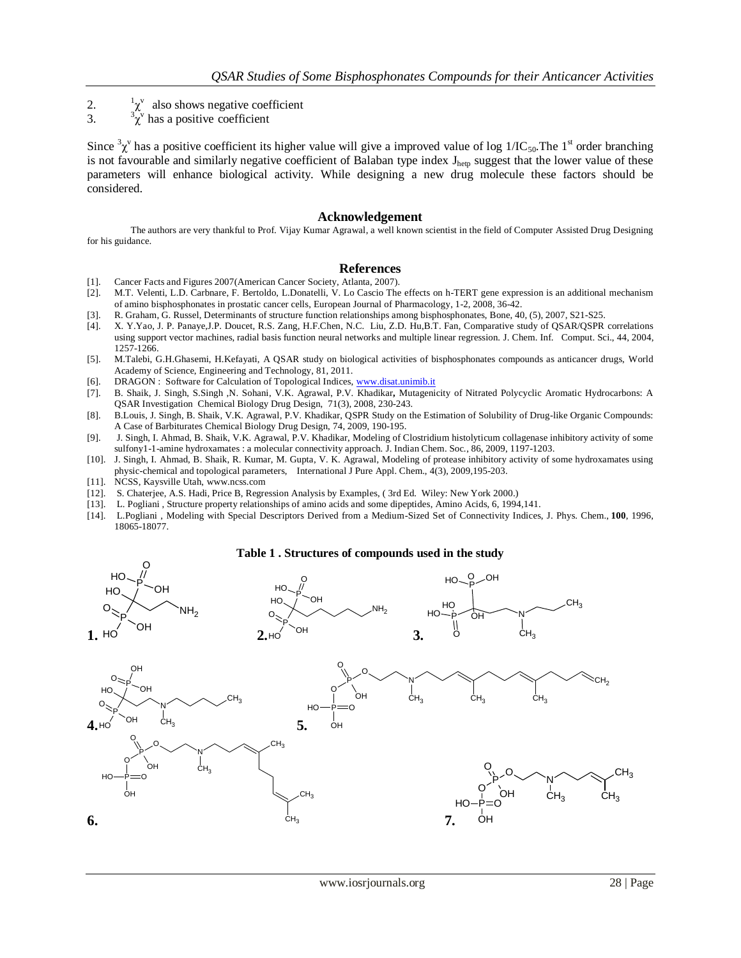- 2. <sup>1</sup>  $\chi^{\text{v}}$  also shows negative coefficient
- 3. <sup>3</sup>  $\chi^{\rm v}$  has a positive coefficient

Since  ${}^3\chi^v$  has a positive coefficient its higher value will give a improved value of log 1/IC<sub>50</sub>. The 1<sup>st</sup> order branching is not favourable and similarly negative coefficient of Balaban type index  $J_{\text{hetp}}$  suggest that the lower value of these parameters will enhance biological activity. While designing a new drug molecule these factors should be considered.

#### **Acknowledgement**

The authors are very thankful to Prof. Vijay Kumar Agrawal, a well known scientist in the field of Computer Assisted Drug Designing for his guidance.

#### **References**

- [1]. Cancer Facts and Figures 2007(American Cancer Society, Atlanta, 2007).
- [2]. M.T. Velenti, L.D. Carbnare, F. Bertoldo, L.Donatelli, V. Lo Cascio The effects on h-TERT gene expression is an additional mechanism of amino bisphosphonates in prostatic cancer cells, European Journal of Pharmacology, 1-2, 2008, 36-42.
- [3]. R. Graham, G. Russel, Determinants of structure function relationships among bisphosphonates, Bone, 40, (5), 2007, S21-S25.
- [4]. X. Y.Yao, J. P. Panaye,J.P. Doucet, R.S. Zang, H.F.Chen, N.C. Liu, Z.D. Hu,B.T. Fan, Comparative study of QSAR/QSPR correlations using support vector machines, radial basis function neural networks and multiple linear regression. J. Chem. Inf. Comput. Sci., 44, 2004, 1257-1266.
- [5]. M.Talebi, G.H.Ghasemi, H.Kefayati, A QSAR study on biological activities of bisphosphonates compounds as anticancer drugs, World Academy of Science, Engineering and Technology, 81, 2011.
- [6]. DRAGON : Software for Calculation of Topological Indices[, www.disat.unimib.it](http://www.disat.unimib.it/)
- [7]. B. Shaik, J. Singh, S.Singh ,N. Sohani, V.K. Agrawal, P.V. Khadikar**,** Mutagenicity of Nitrated Polycyclic Aromatic Hydrocarbons: A QSAR Investigation Chemical Biology Drug Design, 71(3), 2008, 230-243.
- [8]. B.Louis, J. Singh, B. Shaik, V.K. Agrawal, P.V. Khadikar, QSPR Study on the Estimation of Solubility of Drug-like Organic Compounds: A Case of Barbiturates Chemical Biology Drug Design, 74, 2009, 190-195.
- [9]. J. Singh, I. Ahmad, B. Shaik, V.K. Agrawal, P.V. Khadikar, Modeling of Clostridium histolyticum collagenase inhibitory activity of some sulfony1-1-amine hydroxamates : a molecular connectivity approach. J. Indian Chem. Soc., 86, 2009, 1197-1203.
- [10]. J. Singh, I. Ahmad, B. Shaik, R. Kumar, M. Gupta, V. K. Agrawal, Modeling of protease inhibitory activity of some hydroxamates using physic-chemical and topological parameters, International J Pure Appl. Chem., 4(3), 2009,195-203.
- [11]. NCSS, Kaysville Utah[, www.ncss.com](http://www.ncss.com/)
- [12]. S. Chaterjee, A.S. Hadi, Price B, Regression Analysis by Examples, ( 3rd Ed. Wiley: New York 2000.)
- [13]. L. Pogliani , Structure property relationships of amino acids and some dipeptides, Amino Acids, 6, 1994,141.
- [14]. L.Pogliani , Modeling with Special Descriptors Derived from a Medium-Sized Set of Connectivity Indices, J. Phys. Chem., **100**, 1996, 18065-18077.



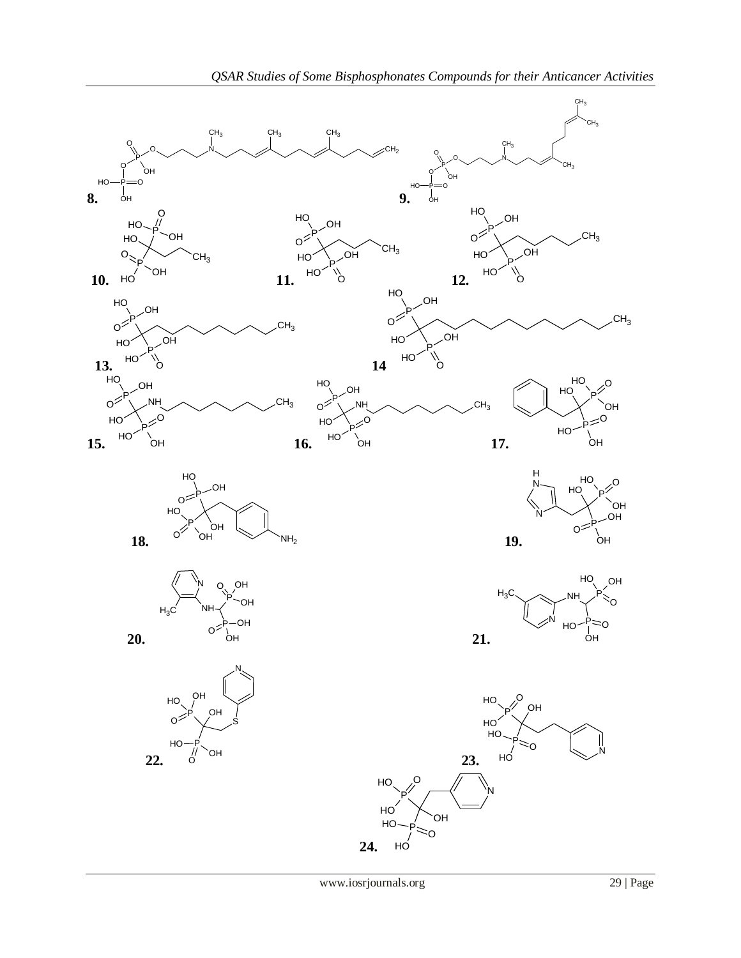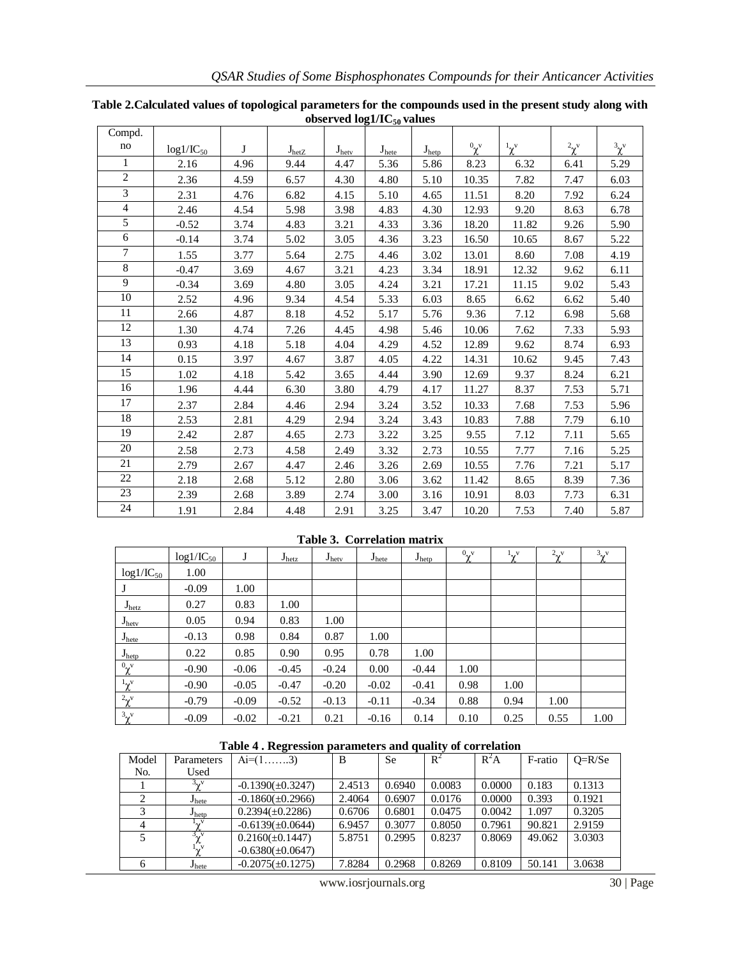| Compd.         |                |      |            |                   |                            |                   |                    |                    |                 |          |
|----------------|----------------|------|------------|-------------------|----------------------------|-------------------|--------------------|--------------------|-----------------|----------|
| no             | $log1/IC_{50}$ | J    | $J_{hetZ}$ | J <sub>hety</sub> | $\mathbf{J}_{\text{hete}}$ | $J_{\text{hetp}}$ | ${}^0\chi^{\rm v}$ | ${}^1\chi^{\rm v}$ | $2\chi^{\rm v}$ | $\chi^v$ |
| 1              | 2.16           | 4.96 | 9.44       | 4.47              | 5.36                       | 5.86              | 8.23               | 6.32               | 6.41            | 5.29     |
| $\overline{2}$ | 2.36           | 4.59 | 6.57       | 4.30              | 4.80                       | 5.10              | 10.35              | 7.82               | 7.47            | 6.03     |
| $\overline{3}$ | 2.31           | 4.76 | 6.82       | 4.15              | 5.10                       | 4.65              | 11.51              | 8.20               | 7.92            | 6.24     |
| $\overline{4}$ | 2.46           | 4.54 | 5.98       | 3.98              | 4.83                       | 4.30              | 12.93              | 9.20               | 8.63            | 6.78     |
| 5              | $-0.52$        | 3.74 | 4.83       | 3.21              | 4.33                       | 3.36              | 18.20              | 11.82              | 9.26            | 5.90     |
| 6              | $-0.14$        | 3.74 | 5.02       | 3.05              | 4.36                       | 3.23              | 16.50              | 10.65              | 8.67            | 5.22     |
| 7              | 1.55           | 3.77 | 5.64       | 2.75              | 4.46                       | 3.02              | 13.01              | 8.60               | 7.08            | 4.19     |
| $\overline{8}$ | $-0.47$        | 3.69 | 4.67       | 3.21              | 4.23                       | 3.34              | 18.91              | 12.32              | 9.62            | 6.11     |
| $\overline{9}$ | $-0.34$        | 3.69 | 4.80       | 3.05              | 4.24                       | 3.21              | 17.21              | 11.15              | 9.02            | 5.43     |
| $10\,$         | 2.52           | 4.96 | 9.34       | 4.54              | 5.33                       | 6.03              | 8.65               | 6.62               | 6.62            | 5.40     |
| 11             | 2.66           | 4.87 | 8.18       | 4.52              | 5.17                       | 5.76              | 9.36               | 7.12               | 6.98            | 5.68     |
| 12             | 1.30           | 4.74 | 7.26       | 4.45              | 4.98                       | 5.46              | 10.06              | 7.62               | 7.33            | 5.93     |
| 13             | 0.93           | 4.18 | 5.18       | 4.04              | 4.29                       | 4.52              | 12.89              | 9.62               | 8.74            | 6.93     |
| 14             | 0.15           | 3.97 | 4.67       | 3.87              | 4.05                       | 4.22              | 14.31              | 10.62              | 9.45            | 7.43     |
| 15             | 1.02           | 4.18 | 5.42       | 3.65              | 4.44                       | 3.90              | 12.69              | 9.37               | 8.24            | 6.21     |
| 16             | 1.96           | 4.44 | 6.30       | 3.80              | 4.79                       | 4.17              | 11.27              | 8.37               | 7.53            | 5.71     |
| 17             | 2.37           | 2.84 | 4.46       | 2.94              | 3.24                       | 3.52              | 10.33              | 7.68               | 7.53            | 5.96     |
| 18             | 2.53           | 2.81 | 4.29       | 2.94              | 3.24                       | 3.43              | 10.83              | 7.88               | 7.79            | 6.10     |
| 19             | 2.42           | 2.87 | 4.65       | 2.73              | 3.22                       | 3.25              | 9.55               | 7.12               | 7.11            | 5.65     |
| 20             | 2.58           | 2.73 | 4.58       | 2.49              | 3.32                       | 2.73              | 10.55              | 7.77               | 7.16            | 5.25     |
| 21             | 2.79           | 2.67 | 4.47       | 2.46              | 3.26                       | 2.69              | 10.55              | 7.76               | 7.21            | 5.17     |
| 22             | 2.18           | 2.68 | 5.12       | 2.80              | 3.06                       | 3.62              | 11.42              | 8.65               | 8.39            | 7.36     |
| 23             | 2.39           | 2.68 | 3.89       | 2.74              | 3.00                       | 3.16              | 10.91              | 8.03               | 7.73            | 6.31     |
| 24             | 1.91           | 2.84 | 4.48       | 2.91              | 3.25                       | 3.47              | 10.20              | 7.53               | 7.40            | 5.87     |

**Table 2.Calculated values of topological parameters for the compounds used in the present study along with observed log1/IC50 values**

#### **Table 3. Correlation matrix**

|                    | $log1/IC_{50}$ | J       | $J_{\text{hetz}}$ | J <sub>hetv</sub> | $J_{\text{hete}}$ | $J_{\text{hetp}}$ | $0_{\mathbf{v}}$ v | $1_{\mathbf{v}^{\mathrm{V}}}$ | $2_{\gamma}$ v | $3\gamma^V$ |
|--------------------|----------------|---------|-------------------|-------------------|-------------------|-------------------|--------------------|-------------------------------|----------------|-------------|
| $log1/IC_{50}$     | 1.00           |         |                   |                   |                   |                   |                    |                               |                |             |
|                    | $-0.09$        | 1.00    |                   |                   |                   |                   |                    |                               |                |             |
| $J_{\text{hetz}}$  | 0.27           | 0.83    | 1.00              |                   |                   |                   |                    |                               |                |             |
| $J_{\text{h}etv}$  | 0.05           | 0.94    | 0.83              | 1.00              |                   |                   |                    |                               |                |             |
| J <sub>hete</sub>  | $-0.13$        | 0.98    | 0.84              | 0.87              | 1.00              |                   |                    |                               |                |             |
| $J_{\text{hetp}}$  | 0.22           | 0.85    | 0.90              | 0.95              | 0.78              | 1.00              |                    |                               |                |             |
| ${}^0\chi^{\rm v}$ | $-0.90$        | $-0.06$ | $-0.45$           | $-0.24$           | 0.00              | $-0.44$           | 1.00               |                               |                |             |
| ${}^1x^v$          | $-0.90$        | $-0.05$ | $-0.47$           | $-0.20$           | $-0.02$           | $-0.41$           | 0.98               | 1.00                          |                |             |
| $^2\chi^{\rm v}$   | $-0.79$        | $-0.09$ | $-0.52$           | $-0.13$           | $-0.11$           | $-0.34$           | 0.88               | 0.94                          | 1.00           |             |
| $\chi^v$           | $-0.09$        | $-0.02$ | $-0.21$           | 0.21              | $-0.16$           | 0.14              | 0.10               | 0.25                          | 0.55           | 1.00        |

#### **Table 4 . Regression parameters and quality of correlation**

| Model | Parameters                          | $Ai=(1, \ldots, 3)$   | B      | <b>Se</b> | $R^2$  | $R^2A$ | F-ratio | $O=R/Se$ |
|-------|-------------------------------------|-----------------------|--------|-----------|--------|--------|---------|----------|
| No.   | Used                                |                       |        |           |        |        |         |          |
|       | $3_vv$                              | $-0.1390(\pm 0.3247)$ | 2.4513 | 0.6940    | 0.0083 | 0.0000 | 0.183   | 0.1313   |
|       | J <sub>hete</sub>                   | $-0.1860(\pm 0.2966)$ | 2.4064 | 0.6907    | 0.0176 | 0.0000 | 0.393   | 0.1921   |
|       | $J_{\text{hetp}}$                   | $0.2394(\pm 0.2286)$  | 0.6706 | 0.6801    | 0.0475 | 0.0042 | 1.097   | 0.3205   |
|       | $\mathbf{1}_{\mathbf{N}}\mathbf{V}$ | $-0.6139(\pm 0.0644)$ | 6.9457 | 0.3077    | 0.8050 | 0.7961 | 90.821  | 2.9159   |
|       | $3_vv$                              | $0.2160(\pm 0.1447)$  | 5.8751 | 0.2995    | 0.8237 | 0.8069 | 49.062  | 3.0303   |
|       | $1_{N}V$                            | $-0.6380(\pm 0.0647)$ |        |           |        |        |         |          |
| 6     | J <sub>hete</sub>                   | $-0.2075(\pm 0.1275)$ | 7.8284 | 0.2968    | 0.8269 | 0.8109 | 50.141  | 3.0638   |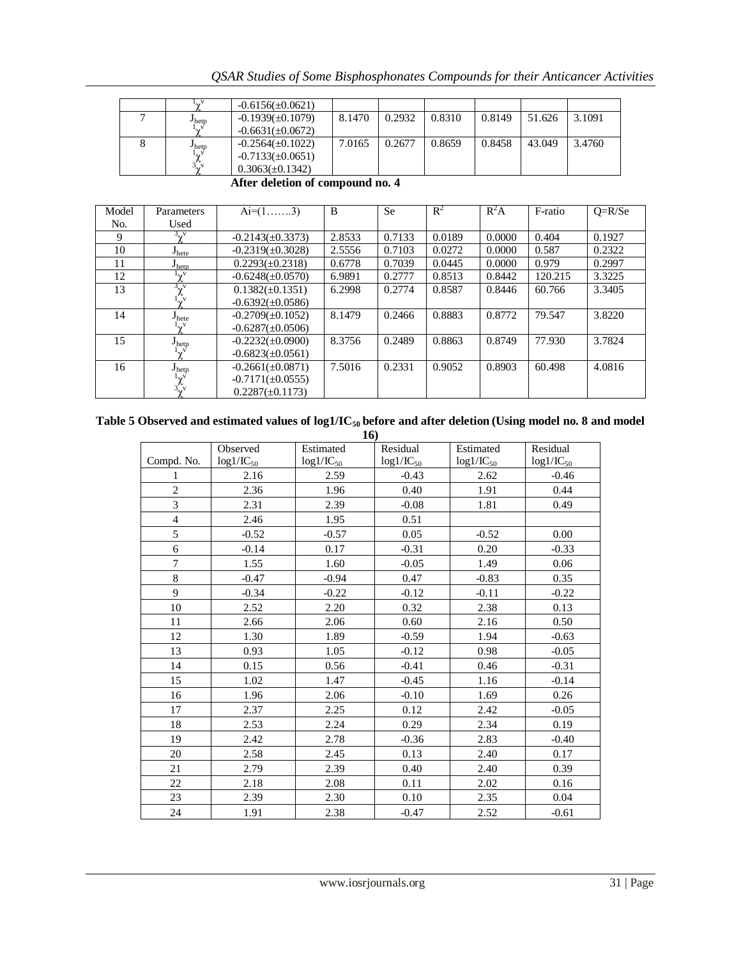|                   | $-0.6156(\pm 0.0621)$ |        |        |        |        |        |        |
|-------------------|-----------------------|--------|--------|--------|--------|--------|--------|
| J <sub>http</sub> | $-0.1939(\pm 0.1079)$ | 8.1470 | 0.2932 | 0.8310 | 0.8149 | 51.626 | 3.1091 |
| $^1$              | $-0.6631(\pm 0.0672)$ |        |        |        |        |        |        |
| $J$ hetp          | $-0.2564(\pm 0.1022)$ | 7.0165 | 0.2677 | 0.8659 | 0.8458 | 43.049 | 3.4760 |
| $\mathbf{A}$      | $-0.7133(\pm 0.0651)$ |        |        |        |        |        |        |
| ຳ.,               | $0.3063(\pm 0.1342)$  |        |        |        |        |        |        |

 **After deletion of compound no. 4**

| Model | Parameters         | $Ai=(1, \ldots, 3)$   | B      | <b>Se</b> | $R^2$  | $R^2A$ | F-ratio | $O=R/Se$ |
|-------|--------------------|-----------------------|--------|-----------|--------|--------|---------|----------|
| No.   | Used               |                       |        |           |        |        |         |          |
| 9     | $3_v v$            | $-0.2143(\pm 0.3373)$ | 2.8533 | 0.7133    | 0.0189 | 0.0000 | 0.404   | 0.1927   |
| 10    | J <sub>hete</sub>  | $-0.2319(\pm 0.3028)$ | 2.5556 | 0.7103    | 0.0272 | 0.0000 | 0.587   | 0.2322   |
| 11    | $J_{\text{hetp}}$  | $0.2293(\pm 0.2318)$  | 0.6778 | 0.7039    | 0.0445 | 0.0000 | 0.979   | 0.2997   |
| 12    |                    | $-0.6248(\pm 0.0570)$ | 6.9891 | 0.2777    | 0.8513 | 0.8442 | 120.215 | 3.3225   |
| 13    | $3_vv$             | $0.1382(\pm 0.1351)$  | 6.2998 | 0.2774    | 0.8587 | 0.8446 | 60.766  | 3.3405   |
|       |                    | $-0.6392(\pm 0.0586)$ |        |           |        |        |         |          |
| 14    | J <sub>hete</sub>  | $-0.2709(\pm 0.1052)$ | 8.1479 | 0.2466    | 0.8883 | 0.8772 | 79.547  | 3.8220   |
|       |                    | $-0.6287(\pm 0.0506)$ |        |           |        |        |         |          |
| 15    | $J_{\text{http}}$  | $-0.2232(\pm 0.0900)$ | 8.3756 | 0.2489    | 0.8863 | 0.8749 | 77.930  | 3.7824   |
|       |                    | $-0.6823(\pm 0.0561)$ |        |           |        |        |         |          |
| 16    | $J_{\text{hetp}}$  | $-0.2661(\pm 0.0871)$ | 7.5016 | 0.2331    | 0.9052 | 0.8903 | 60.498  | 4.0816   |
|       |                    | $-0.7171(\pm 0.0555)$ |        |           |        |        |         |          |
|       | $3^{\prime}_{\nu}$ | $0.2287(\pm 0.1173)$  |        |           |        |        |         |          |

**Table 5 Observed and estimated values of log1/IC<sup>50</sup> before and after deletion (Using model no. 8 and model** 

| 16)            |                                                            |                |                |                |                |  |  |  |  |  |  |  |
|----------------|------------------------------------------------------------|----------------|----------------|----------------|----------------|--|--|--|--|--|--|--|
|                | Observed<br>Estimated<br>Residual<br>Estimated<br>Residual |                |                |                |                |  |  |  |  |  |  |  |
| Compd. No.     | $log1/IC_{50}$                                             | $log1/IC_{50}$ | $log1/IC_{50}$ | $log1/IC_{50}$ | $log1/IC_{50}$ |  |  |  |  |  |  |  |
| 1              | 2.16                                                       | 2.59           | $-0.43$        | 2.62           | $-0.46$        |  |  |  |  |  |  |  |
| $\overline{c}$ | 2.36                                                       | 1.96           | 0.40           | 1.91           | 0.44           |  |  |  |  |  |  |  |
| $\overline{3}$ | 2.31                                                       | 2.39           | $-0.08$        | 1.81           | 0.49           |  |  |  |  |  |  |  |
| $\overline{4}$ | 2.46                                                       | 1.95           | 0.51           |                |                |  |  |  |  |  |  |  |
| 5              | $-0.52$                                                    | $-0.57$        | 0.05           | $-0.52$        | 0.00           |  |  |  |  |  |  |  |
| 6              | $-0.14$                                                    | 0.17           | $-0.31$        | 0.20           | $-0.33$        |  |  |  |  |  |  |  |
| $\overline{7}$ | 1.55                                                       | 1.60           | $-0.05$        | 1.49           | 0.06           |  |  |  |  |  |  |  |
| $\,8\,$        | $-0.47$                                                    | $-0.94$        | 0.47           | $-0.83$        | 0.35           |  |  |  |  |  |  |  |
| 9              | $-0.34$                                                    | $-0.22$        | $-0.12$        | $-0.11$        | $-0.22$        |  |  |  |  |  |  |  |
| 10             | 2.52                                                       | 2.20           | 0.32           | 2.38           | 0.13           |  |  |  |  |  |  |  |
| 11             | 2.66                                                       | 2.06           | 0.60           | 2.16           | 0.50           |  |  |  |  |  |  |  |
| 12             | 1.30                                                       | 1.89           | $-0.59$        | 1.94           | $-0.63$        |  |  |  |  |  |  |  |
| 13             | 0.93                                                       | 1.05           | $-0.12$        | 0.98           | $-0.05$        |  |  |  |  |  |  |  |
| 14             | 0.15                                                       | 0.56           | $-0.41$        | 0.46           | $-0.31$        |  |  |  |  |  |  |  |
| 15             | 1.02                                                       | 1.47           | $-0.45$        | 1.16           | $-0.14$        |  |  |  |  |  |  |  |
| 16             | 1.96                                                       | 2.06           | $-0.10$        | 1.69           | 0.26           |  |  |  |  |  |  |  |
| 17             | 2.37                                                       | 2.25           | 0.12           | 2.42           | $-0.05$        |  |  |  |  |  |  |  |
| 18             | 2.53                                                       | 2.24           | 0.29           | 2.34           | 0.19           |  |  |  |  |  |  |  |
| 19             | 2.42                                                       | 2.78           | $-0.36$        | 2.83           | $-0.40$        |  |  |  |  |  |  |  |
| 20             | 2.58                                                       | 2.45           | 0.13           | 2.40           | 0.17           |  |  |  |  |  |  |  |
| 21             | 2.79                                                       | 2.39           | 0.40           | 2.40           | 0.39           |  |  |  |  |  |  |  |
| 22             | 2.18                                                       | 2.08           | 0.11           | 2.02           | 0.16           |  |  |  |  |  |  |  |
| 23             | 2.39                                                       | 2.30           | 0.10           | 2.35           | 0.04           |  |  |  |  |  |  |  |
| 24             | 1.91                                                       | 2.38           | $-0.47$        | 2.52           | $-0.61$        |  |  |  |  |  |  |  |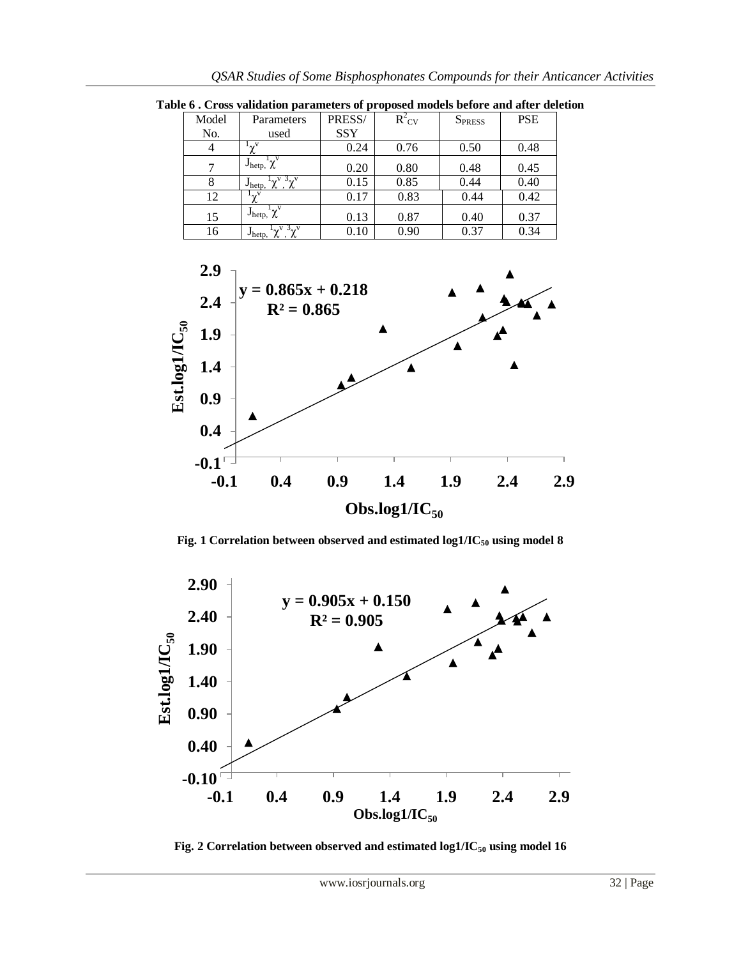|       | гс о , стоээ тандайон рагангситэ ог ргорозса шоасвэ эсгөгс ана агит асв |            |                   |                           |            |
|-------|-------------------------------------------------------------------------|------------|-------------------|---------------------------|------------|
| Model | Parameters                                                              | PRESS/     | $R^2_{\text{CV}}$ | <b>S</b> <sub>PRESS</sub> | <b>PSE</b> |
| No.   | used                                                                    | <b>SSY</b> |                   |                           |            |
| 4     | $\mathbf{1}_{\mathbf{v}}\mathbf{v}$                                     | 0.24       | 0.76              | 0.50                      | 0.48       |
|       | $J_{\text{hetp}}^{\mathcal{N}} \chi^V$                                  | 0.20       | 0.80              | 0.48                      | 0.45       |
| 8     | $3. \nu$<br>$J_{\text{hetp}}$                                           | 0.15       | 0.85              | 0.44                      | 0.40       |
| 12    |                                                                         | 0.17       | 0.83              | 0.44                      | 0.42       |
| 15    | $J_{\text{hetp}}^{\phantom{\text{up}^{1}}}\chi^{\text{v}}$              | 0.13       | 0.87              | 0.40                      | 0.37       |
| 16    | 3 V<br>$J_{\text{http.}}$                                               | 0.10       | 0.90              | 0.37                      | 0.34       |

**Table 6 . Cross validation parameters of proposed models before and after deletion**



**Fig. 1 Correlation between observed and estimated log1/IC<sup>50</sup> using model 8**



**Fig. 2 Correlation between observed and estimated log1/IC<sup>50</sup> using model 16**